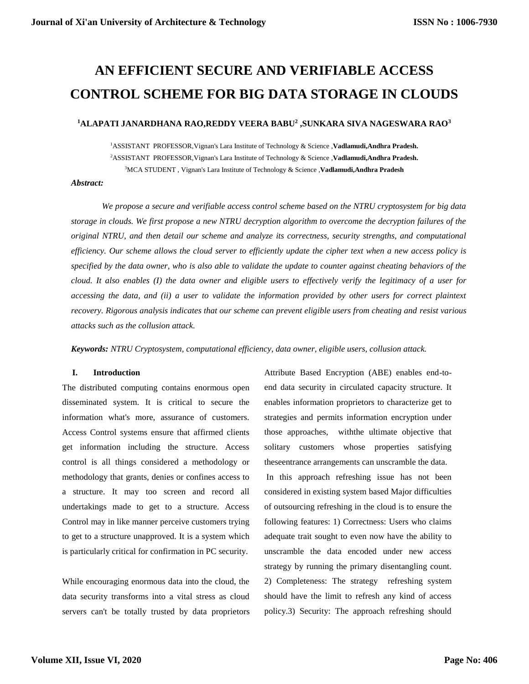# **AN EFFICIENT SECURE AND VERIFIABLE ACCESS CONTROL SCHEME FOR BIG DATA STORAGE IN CLOUDS**

# **<sup>1</sup>ALAPATI JANARDHANA RAO,REDDY VEERA BABU<sup>2</sup> ,SUNKARA SIVA NAGESWARA RAO<sup>3</sup>**

<sup>1</sup>ASSISTANT PROFESSO[R,Vignan's Lara Institute of Technology & Science](https://collegedunia.com/college/24602-vignans-lara-institute-of-technology-and-science-vlits-guntur) ,**Vadlamudi,Andhra Pradesh.** <sup>2</sup>ASSISTANT PROFESSO[R,Vignan's Lara Institute of Technology & Science](https://collegedunia.com/college/24602-vignans-lara-institute-of-technology-and-science-vlits-guntur) ,**Vadlamudi,Andhra Pradesh.** <sup>3</sup>MCA STUDENT [, Vignan's Lara Institute of Technology & Science](https://collegedunia.com/college/24602-vignans-lara-institute-of-technology-and-science-vlits-guntur) ,**Vadlamudi,Andhra Pradesh**

#### *Abstract:*

*We propose a secure and verifiable access control scheme based on the NTRU cryptosystem for big data storage in clouds. We first propose a new NTRU decryption algorithm to overcome the decryption failures of the original NTRU, and then detail our scheme and analyze its correctness, security strengths, and computational efficiency. Our scheme allows the cloud server to efficiently update the cipher text when a new access policy is specified by the data owner, who is also able to validate the update to counter against cheating behaviors of the cloud. It also enables (I) the data owner and eligible users to effectively verify the legitimacy of a user for accessing the data, and (ii) a user to validate the information provided by other users for correct plaintext recovery. Rigorous analysis indicates that our scheme can prevent eligible users from cheating and resist various attacks such as the collusion attack.*

*Keywords: NTRU Cryptosystem, computational efficiency, data owner, eligible users, collusion attack.*

# **I. Introduction**

The distributed computing contains enormous open disseminated system. It is critical to secure the information what's more, assurance of customers. Access Control systems ensure that affirmed clients get information including the structure. Access control is all things considered a methodology or methodology that grants, denies or confines access to a structure. It may too screen and record all undertakings made to get to a structure. Access Control may in like manner perceive customers trying to get to a structure unapproved. It is a system which is particularly critical for confirmation in PC security.

While encouraging enormous data into the cloud, the data security transforms into a vital stress as cloud servers can't be totally trusted by data proprietors

Attribute Based Encryption (ABE) enables end-toend data security in circulated capacity structure. It enables information proprietors to characterize get to strategies and permits information encryption under those approaches, withthe ultimate objective that solitary customers whose properties satisfying theseentrance arrangements can unscramble the data. In this approach refreshing issue has not been considered in existing system based Major difficulties of outsourcing refreshing in the cloud is to ensure the following features: 1) Correctness: Users who claims adequate trait sought to even now have the ability to unscramble the data encoded under new access strategy by running the primary disentangling count. 2) Completeness: The strategy refreshing system should have the limit to refresh any kind of access policy.3) Security: The approach refreshing should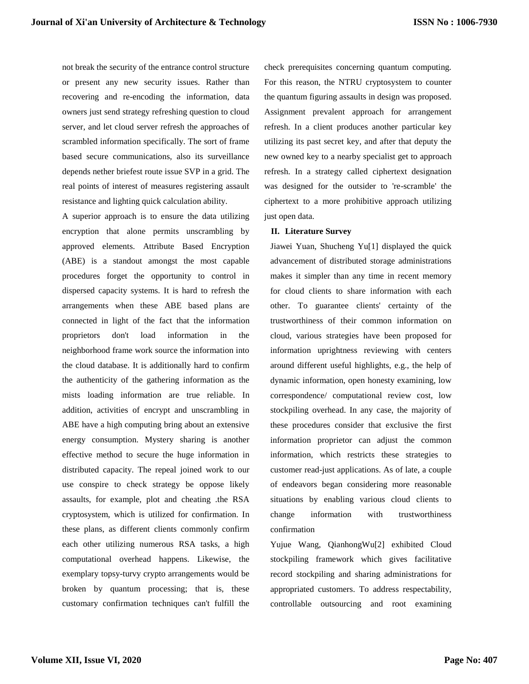not break the security of the entrance control structure or present any new security issues. Rather than recovering and re-encoding the information, data owners just send strategy refreshing question to cloud server, and let cloud server refresh the approaches of scrambled information specifically. The sort of frame based secure communications, also its surveillance depends nether briefest route issue SVP in a grid. The real points of interest of measures registering assault resistance and lighting quick calculation ability.

A superior approach is to ensure the data utilizing encryption that alone permits unscrambling by approved elements. Attribute Based Encryption (ABE) is a standout amongst the most capable procedures forget the opportunity to control in dispersed capacity systems. It is hard to refresh the arrangements when these ABE based plans are connected in light of the fact that the information proprietors don't load information in the neighborhood frame work source the information into the cloud database. It is additionally hard to confirm the authenticity of the gathering information as the mists loading information are true reliable. In addition, activities of encrypt and unscrambling in ABE have a high computing bring about an extensive energy consumption. Mystery sharing is another effective method to secure the huge information in distributed capacity. The repeal joined work to our use conspire to check strategy be oppose likely assaults, for example, plot and cheating .the RSA cryptosystem, which is utilized for confirmation. In these plans, as different clients commonly confirm each other utilizing numerous RSA tasks, a high computational overhead happens. Likewise, the exemplary topsy-turvy crypto arrangements would be broken by quantum processing; that is, these customary confirmation techniques can't fulfill the

check prerequisites concerning quantum computing. For this reason, the NTRU cryptosystem to counter the quantum figuring assaults in design was proposed. Assignment prevalent approach for arrangement refresh. In a client produces another particular key utilizing its past secret key, and after that deputy the new owned key to a nearby specialist get to approach refresh. In a strategy called ciphertext designation was designed for the outsider to 're-scramble' the ciphertext to a more prohibitive approach utilizing just open data.

## **II. Literature Survey**

Jiawei Yuan, Shucheng Yu[1] displayed the quick advancement of distributed storage administrations makes it simpler than any time in recent memory for cloud clients to share information with each other. To guarantee clients' certainty of the trustworthiness of their common information on cloud, various strategies have been proposed for information uprightness reviewing with centers around different useful highlights, e.g., the help of dynamic information, open honesty examining, low correspondence/ computational review cost, low stockpiling overhead. In any case, the majority of these procedures consider that exclusive the first information proprietor can adjust the common information, which restricts these strategies to customer read-just applications. As of late, a couple of endeavors began considering more reasonable situations by enabling various cloud clients to change information with trustworthiness confirmation

Yujue Wang, QianhongWu[2] exhibited Cloud stockpiling framework which gives facilitative record stockpiling and sharing administrations for appropriated customers. To address respectability, controllable outsourcing and root examining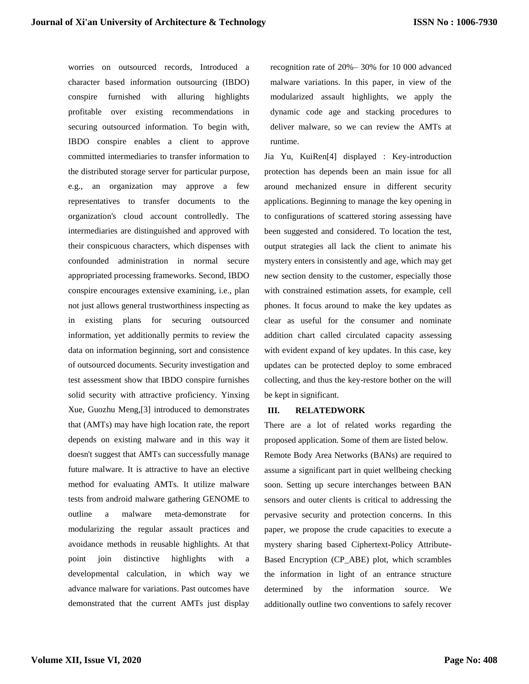worries on outsourced records, Introduced a character based information outsourcing (IBDO) conspire furnished with alluring highlights profitable over existing recommendations in securing outsourced information. To begin with, IBDO conspire enables a client to approve committed intermediaries to transfer information to the distributed storage server for particular purpose, e.g., an organization may approve a few representatives to transfer documents to the organization's cloud account controlledly. The intermediaries are distinguished and approved with their conspicuous characters, which dispenses with confounded administration in normal secure appropriated processing frameworks. Second, IBDO conspire encourages extensive examining, i.e., plan not just allows general trustworthiness inspecting as in existing plans for securing outsourced information, yet additionally permits to review the data on information beginning, sort and consistence of outsourced documents. Security investigation and test assessment show that IBDO conspire furnishes solid security with attractive proficiency. Yinxing Xue, Guozhu Meng,[3] introduced to demonstrates that (AMTs) may have high location rate, the report depends on existing malware and in this way it doesn't suggest that AMTs can successfully manage future malware. It is attractive to have an elective method for evaluating AMTs. It utilize malware tests from android malware gathering GENOME to outline a malware meta-demonstrate for modularizing the regular assault practices and avoidance methods in reusable highlights. At that point join distinctive highlights with a developmental calculation, in which way we advance malware for variations. Past outcomes have demonstrated that the current AMTs just display

recognition rate of 20%– 30% for 10 000 advanced malware variations. In this paper, in view of the modularized assault highlights, we apply the dynamic code age and stacking procedures to deliver malware, so we can review the AMTs at runtime.

Jia Yu, KuiRen[4] displayed : Key-introduction protection has depends been an main issue for all around mechanized ensure in different security applications. Beginning to manage the key opening in to configurations of scattered storing assessing have been suggested and considered. To location the test, output strategies all lack the client to animate his mystery enters in consistently and age, which may get new section density to the customer, especially those with constrained estimation assets, for example, cell phones. It focus around to make the key updates as clear as useful for the consumer and nominate addition chart called circulated capacity assessing with evident expand of key updates. In this case, key updates can be protected deploy to some embraced collecting, and thus the key-restore bother on the will be kept in significant.

#### **III. RELATEDWORK**

There are a lot of related works regarding the proposed application. Some of them are listed below. Remote Body Area Networks (BANs) are required to assume a significant part in quiet wellbeing checking soon. Setting up secure interchanges between BAN sensors and outer clients is critical to addressing the pervasive security and protection concerns. In this paper, we propose the crude capacities to execute a mystery sharing based Ciphertext-Policy Attribute-Based Encryption (CP\_ABE) plot, which scrambles the information in light of an entrance structure determined by the information source. We additionally outline two conventions to safely recover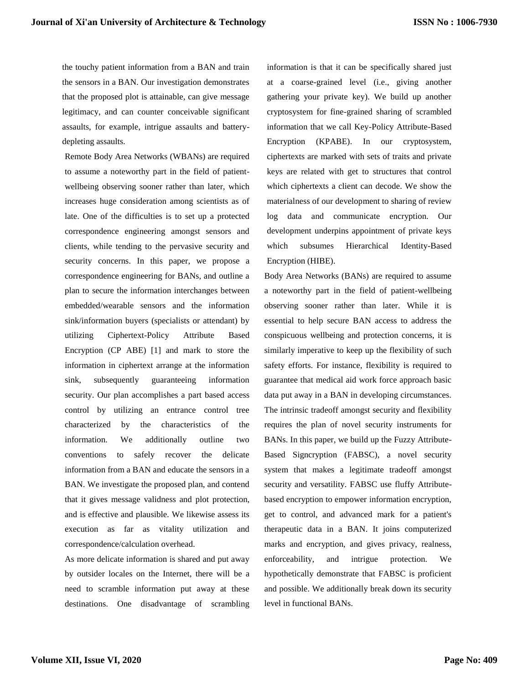the touchy patient information from a BAN and train the sensors in a BAN. Our investigation demonstrates that the proposed plot is attainable, can give message legitimacy, and can counter conceivable significant assaults, for example, intrigue assaults and batterydepleting assaults.

Remote Body Area Networks (WBANs) are required to assume a noteworthy part in the field of patientwellbeing observing sooner rather than later, which increases huge consideration among scientists as of late. One of the difficulties is to set up a protected correspondence engineering amongst sensors and clients, while tending to the pervasive security and security concerns. In this paper, we propose a correspondence engineering for BANs, and outline a plan to secure the information interchanges between embedded/wearable sensors and the information sink/information buyers (specialists or attendant) by utilizing Ciphertext-Policy Attribute Based Encryption (CP ABE) [1] and mark to store the information in ciphertext arrange at the information sink, subsequently guaranteeing information security. Our plan accomplishes a part based access control by utilizing an entrance control tree characterized by the characteristics of the information. We additionally outline two conventions to safely recover the delicate information from a BAN and educate the sensors in a BAN. We investigate the proposed plan, and contend that it gives message validness and plot protection, and is effective and plausible. We likewise assess its execution as far as vitality utilization and correspondence/calculation overhead.

As more delicate information is shared and put away by outsider locales on the Internet, there will be a need to scramble information put away at these destinations. One disadvantage of scrambling information is that it can be specifically shared just at a coarse-grained level (i.e., giving another gathering your private key). We build up another cryptosystem for fine-grained sharing of scrambled information that we call Key-Policy Attribute-Based Encryption (KPABE). In our cryptosystem, ciphertexts are marked with sets of traits and private keys are related with get to structures that control which ciphertexts a client can decode. We show the materialness of our development to sharing of review log data and communicate encryption. Our development underpins appointment of private keys which subsumes Hierarchical Identity-Based Encryption (HIBE).

Body Area Networks (BANs) are required to assume a noteworthy part in the field of patient-wellbeing observing sooner rather than later. While it is essential to help secure BAN access to address the conspicuous wellbeing and protection concerns, it is similarly imperative to keep up the flexibility of such safety efforts. For instance, flexibility is required to guarantee that medical aid work force approach basic data put away in a BAN in developing circumstances. The intrinsic tradeoff amongst security and flexibility requires the plan of novel security instruments for BANs. In this paper, we build up the Fuzzy Attribute-Based Signcryption (FABSC), a novel security system that makes a legitimate tradeoff amongst security and versatility. FABSC use fluffy Attributebased encryption to empower information encryption, get to control, and advanced mark for a patient's therapeutic data in a BAN. It joins computerized marks and encryption, and gives privacy, realness, enforceability, and intrigue protection. We hypothetically demonstrate that FABSC is proficient and possible. We additionally break down its security level in functional BANs.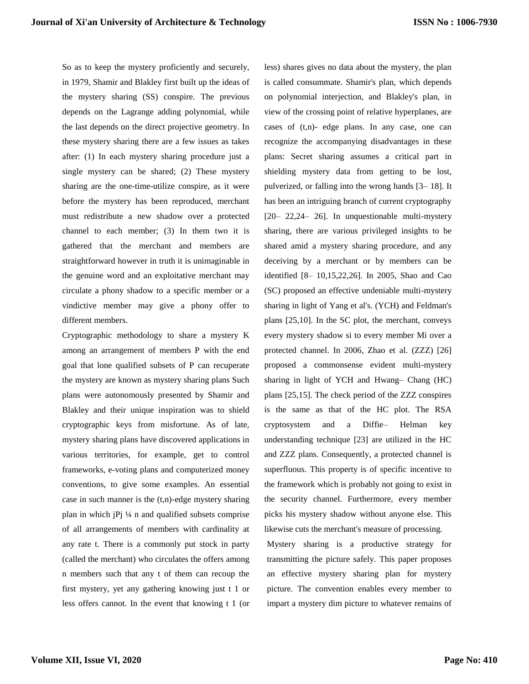So as to keep the mystery proficiently and securely, in 1979, Shamir and Blakley first built up the ideas of the mystery sharing (SS) conspire. The previous depends on the Lagrange adding polynomial, while the last depends on the direct projective geometry. In these mystery sharing there are a few issues as takes after: (1) In each mystery sharing procedure just a single mystery can be shared; (2) These mystery sharing are the one-time-utilize conspire, as it were before the mystery has been reproduced, merchant must redistribute a new shadow over a protected channel to each member; (3) In them two it is gathered that the merchant and members are straightforward however in truth it is unimaginable in the genuine word and an exploitative merchant may circulate a phony shadow to a specific member or a vindictive member may give a phony offer to different members.

Cryptographic methodology to share a mystery K among an arrangement of members P with the end goal that lone qualified subsets of P can recuperate the mystery are known as mystery sharing plans Such plans were autonomously presented by Shamir and Blakley and their unique inspiration was to shield cryptographic keys from misfortune. As of late, mystery sharing plans have discovered applications in various territories, for example, get to control frameworks, e-voting plans and computerized money conventions, to give some examples. An essential case in such manner is the  $(t,n)$ -edge mystery sharing plan in which jPj ¼ n and qualified subsets comprise of all arrangements of members with cardinality at any rate t. There is a commonly put stock in party (called the merchant) who circulates the offers among n members such that any t of them can recoup the first mystery, yet any gathering knowing just t 1 or less offers cannot. In the event that knowing t 1 (or less) shares gives no data about the mystery, the plan is called consummate. Shamir's plan, which depends on polynomial interjection, and Blakley's plan, in view of the crossing point of relative hyperplanes, are cases of (t,n)- edge plans. In any case, one can recognize the accompanying disadvantages in these plans: Secret sharing assumes a critical part in shielding mystery data from getting to be lost, pulverized, or falling into the wrong hands [3– 18]. It has been an intriguing branch of current cryptography [20– 22,24– 26]. In unquestionable multi-mystery sharing, there are various privileged insights to be shared amid a mystery sharing procedure, and any deceiving by a merchant or by members can be identified [8– 10,15,22,26]. In 2005, Shao and Cao (SC) proposed an effective undeniable multi-mystery sharing in light of Yang et al's. (YCH) and Feldman's plans [25,10]. In the SC plot, the merchant, conveys every mystery shadow si to every member Mi over a protected channel. In 2006, Zhao et al. (ZZZ) [26] proposed a commonsense evident multi-mystery sharing in light of YCH and Hwang– Chang (HC) plans [25,15]. The check period of the ZZZ conspires is the same as that of the HC plot. The RSA cryptosystem and a Diffie– Helman key understanding technique [23] are utilized in the HC and ZZZ plans. Consequently, a protected channel is superfluous. This property is of specific incentive to the framework which is probably not going to exist in the security channel. Furthermore, every member picks his mystery shadow without anyone else. This likewise cuts the merchant's measure of processing.

Mystery sharing is a productive strategy for transmitting the picture safely. This paper proposes an effective mystery sharing plan for mystery picture. The convention enables every member to impart a mystery dim picture to whatever remains of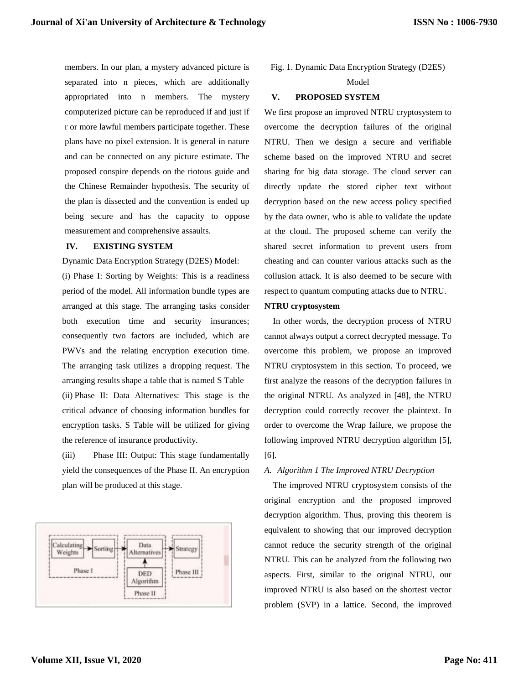members. In our plan, a mystery advanced picture is separated into n pieces, which are additionally appropriated into n members. The mystery computerized picture can be reproduced if and just if r or more lawful members participate together. These plans have no pixel extension. It is general in nature and can be connected on any picture estimate. The proposed conspire depends on the riotous guide and the Chinese Remainder hypothesis. The security of the plan is dissected and the convention is ended up being secure and has the capacity to oppose measurement and comprehensive assaults.

# **IV. EXISTING SYSTEM**

Dynamic Data Encryption Strategy (D2ES) Model:

(i) Phase I: Sorting by Weights: This is a readiness period of the model. All information bundle types are arranged at this stage. The arranging tasks consider both execution time and security insurances; consequently two factors are included, which are PWVs and the relating encryption execution time. The arranging task utilizes a dropping request. The arranging results shape a table that is named S Table (ii) Phase II: Data Alternatives: This stage is the critical advance of choosing information bundles for encryption tasks. S Table will be utilized for giving the reference of insurance productivity.

(iii) Phase III: Output: This stage fundamentally yield the consequences of the Phase II. An encryption plan will be produced at this stage.



## Fig. 1. Dynamic Data Encryption Strategy (D2ES)

#### Model

## **V. PROPOSED SYSTEM**

We first propose an improved NTRU cryptosystem to overcome the decryption failures of the original NTRU. Then we design a secure and verifiable scheme based on the improved NTRU and secret sharing for big data storage. The cloud server can directly update the stored cipher text without decryption based on the new access policy specified by the data owner, who is able to validate the update at the cloud. The proposed scheme can verify the shared secret information to prevent users from cheating and can counter various attacks such as the collusion attack. It is also deemed to be secure with respect to quantum computing attacks due to NTRU.

## **NTRU cryptosystem**

In other words, the decryption process of NTRU cannot always output a correct decrypted message. To overcome this problem, we propose an improved NTRU cryptosystem in this section. To proceed, we first analyze the reasons of the decryption failures in the original NTRU. As analyzed in [48], the NTRU decryption could correctly recover the plaintext. In order to overcome the Wrap failure, we propose the following improved NTRU decryption algorithm [5], [6].

## *A. Algorithm 1 The Improved NTRU Decryption*

The improved NTRU cryptosystem consists of the original encryption and the proposed improved decryption algorithm. Thus, proving this theorem is equivalent to showing that our improved decryption cannot reduce the security strength of the original NTRU. This can be analyzed from the following two aspects. First, similar to the original NTRU, our improved NTRU is also based on the shortest vector problem (SVP) in a lattice. Second, the improved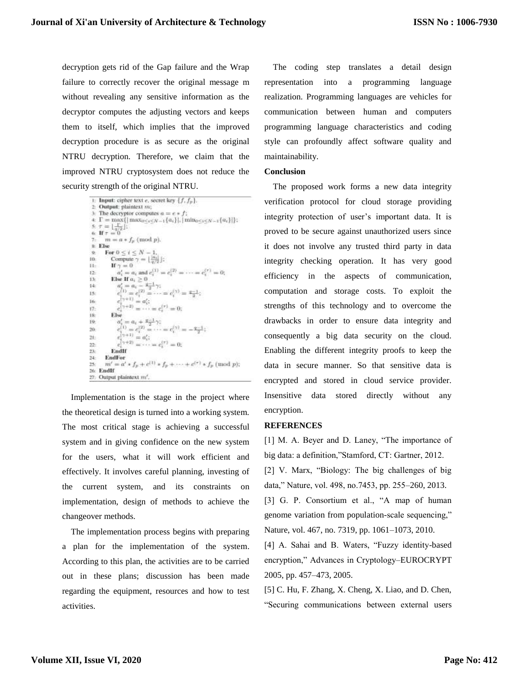decryption gets rid of the Gap failure and the Wrap failure to correctly recover the original message m without revealing any sensitive information as the decryptor computes the adjusting vectors and keeps them to itself, which implies that the improved decryption procedure is as secure as the original NTRU decryption. Therefore, we claim that the improved NTRU cryptosystem does not reduce the security strength of the original NTRU.

```
1: Input: cipher text e, secret key \{f, f_p\}.
      Output: plaintext m;
      The decryptor computes a = e * f;
 \in \Gamma = \max\{|\max_{0 \leq i \leq N-1}\{a_i\}|, |\min_{0 \leq i \leq N-1}\{a_i\}|\}.s. \tau = \frac{1}{q/2}]:<br>
6. If \tau = 0m = a * f_p \pmod{p}.
 \& Else
         For 0\leq i\leq N-1.ä
              \begin{array}{l} \mbox{Compute } \gamma = \lfloor \frac{\lvert \alpha_i \rvert}{q/2} \rfloor; \\ \mbox{If } \gamma = 0 \end{array}I0-
ii-
                   a'_i = a_i and e_i^{(1)} = e_i^{(2)} = \cdots = e_i^{(r)} = 0;
22 -Else If a_i\geq 013se a'_i = a_i - \frac{q-1}{2} \gamma;<br>
c_i^{(1)} = c_i^{(2)} = \cdots = c_i^{(\gamma)} = \frac{q-1}{2};
14.15c_i = c_i<br>c_i = a_i16cc_i^{(\tau+2)} = \cdots = c_i^{(\tau)} = 0;17.18Else
                  a_i'=a_i+\frac{q-1}{2}\gamma;19<sub>1</sub>c_1^{(1)} = c_1^{(2)} = \cdots = c_1^{(2)} = -\frac{q-1}{2}c_i^{(1)} = c_i^{(2)} = \cdots = c_i^{(2)} =<br>
c_i^{(2+1)} = a_i';<br>
c_i^{(2+2)} = \cdots = c_i^{(2)} = 0;<br>
All<br>
All
20 -21-22 -23EndIf
24 -EndFor
          m' = a' * f_p + c^{(1)} * f_p + \cdots + c^{(\tau)} * f_p \pmod{p};
2526 EndH
27: Output plaintext m'.
```
Implementation is the stage in the project where the theoretical design is turned into a working system. The most critical stage is achieving a successful system and in giving confidence on the new system for the users, what it will work efficient and effectively. It involves careful planning, investing of the current system, and its constraints on implementation, design of methods to achieve the changeover methods.

The implementation process begins with preparing a plan for the implementation of the system. According to this plan, the activities are to be carried out in these plans; discussion has been made regarding the equipment, resources and how to test activities.

The coding step translates a detail design representation into a programming language realization. Programming languages are vehicles for communication between human and computers programming language characteristics and coding style can profoundly affect software quality and maintainability.

# **Conclusion**

The proposed work forms a new data integrity verification protocol for cloud storage providing integrity protection of user's important data. It is proved to be secure against unauthorized users since it does not involve any trusted third party in data integrity checking operation. It has very good efficiency in the aspects of communication, computation and storage costs. To exploit the strengths of this technology and to overcome the drawbacks in order to ensure data integrity and consequently a big data security on the cloud. Enabling the different integrity proofs to keep the data in secure manner. So that sensitive data is encrypted and stored in cloud service provider. Insensitive data stored directly without any encryption.

#### **REFERENCES**

[1] M. A. Beyer and D. Laney, "The importance of big data: a definition,"Stamford, CT: Gartner, 2012.

[2] V. Marx, "Biology: The big challenges of big data," Nature, vol. 498, no.7453, pp. 255–260, 2013.

[3] G. P. Consortium et al., "A map of human genome variation from population-scale sequencing," Nature, vol. 467, no. 7319, pp. 1061–1073, 2010.

[4] A. Sahai and B. Waters, "Fuzzy identity-based encryption," Advances in Cryptology–EUROCRYPT 2005, pp. 457–473, 2005.

[5] C. Hu, F. Zhang, X. Cheng, X. Liao, and D. Chen, "Securing communications between external users